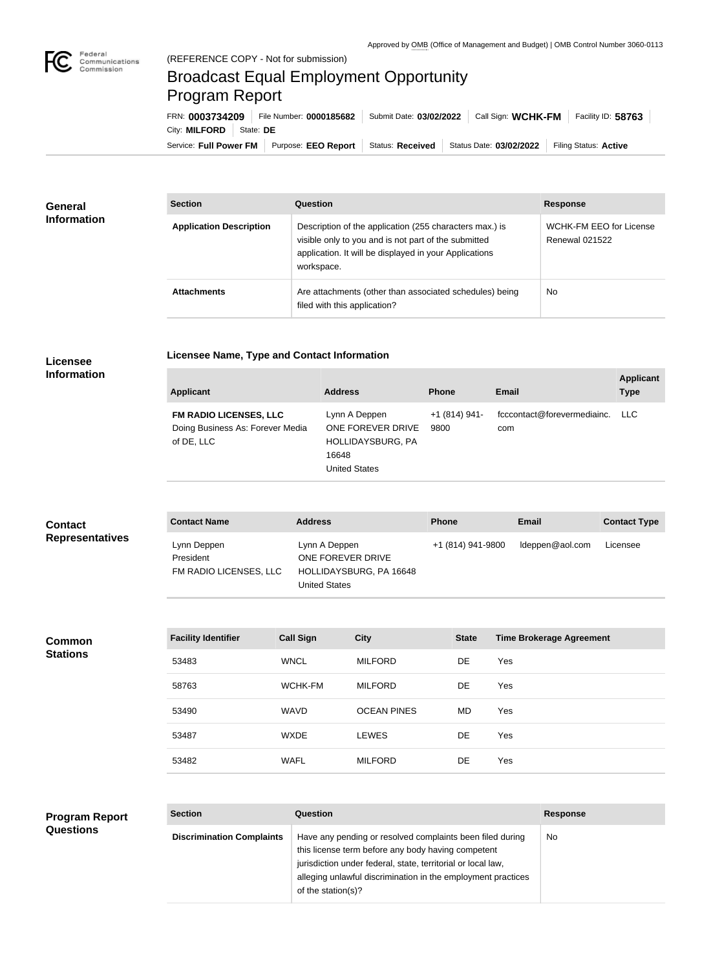

## Broadcast Equal Employment Opportunity Program Report

**Licensee Name, Type and Contact Information**

Service: Full Power FM Purpose: EEO Report | Status: Received | Status Date: 03/02/2022 | Filing Status: Active City: **MILFORD** State: DE FRN: **0003734209** File Number: **0000185682** Submit Date: **03/02/2022** Call Sign: **WCHK-FM** Facility ID: **58763**

| <b>General</b><br><b>Information</b> | <b>Section</b>                 | <b>Question</b>                                                                                                                                                                         | <b>Response</b>                                  |  |
|--------------------------------------|--------------------------------|-----------------------------------------------------------------------------------------------------------------------------------------------------------------------------------------|--------------------------------------------------|--|
|                                      | <b>Application Description</b> | Description of the application (255 characters max.) is<br>visible only to you and is not part of the submitted<br>application. It will be displayed in your Applications<br>workspace. | WCHK-FM EEO for License<br><b>Renewal 021522</b> |  |
|                                      | <b>Attachments</b>             | Are attachments (other than associated schedules) being<br>filed with this application?                                                                                                 | <b>No</b>                                        |  |

## **Licensee Information**

| <b>Applicant</b>                                                                | <b>Address</b>                                                                           | <b>Phone</b>          | <b>Email</b>                       | <b>Applicant</b><br><b>Type</b> |
|---------------------------------------------------------------------------------|------------------------------------------------------------------------------------------|-----------------------|------------------------------------|---------------------------------|
| <b>FM RADIO LICENSES, LLC</b><br>Doing Business As: Forever Media<br>of DE, LLC | Lynn A Deppen<br>ONE FOREVER DRIVE<br>HOLLIDAYSBURG, PA<br>16648<br><b>United States</b> | +1 (814) 941-<br>9800 | fcccontact@forevermediainc.<br>com | LLC.                            |

| <b>Contact</b>         | <b>Contact Name</b>                                | <b>Address</b>                                                                 | <b>Phone</b>      | Email           | <b>Contact Type</b> |
|------------------------|----------------------------------------------------|--------------------------------------------------------------------------------|-------------------|-----------------|---------------------|
| <b>Representatives</b> | Lynn Deppen<br>President<br>FM RADIO LICENSES, LLC | Lynn A Deppen<br>ONE FOREVER DRIVE<br>HOLLIDAYSBURG, PA 16648<br>United States | +1 (814) 941-9800 | ldeppen@aol.com | Licensee            |

**Common Stations**

| <b>Facility Identifier</b> | <b>Call Sign</b> | <b>City</b>        | <b>State</b> | <b>Time Brokerage Agreement</b> |
|----------------------------|------------------|--------------------|--------------|---------------------------------|
| 53483                      | <b>WNCL</b>      | <b>MILFORD</b>     | <b>DE</b>    | Yes                             |
| 58763                      | WCHK-FM          | <b>MILFORD</b>     | <b>DE</b>    | Yes                             |
| 53490                      | <b>WAVD</b>      | <b>OCEAN PINES</b> | MD.          | Yes                             |
| 53487                      | <b>WXDE</b>      | <b>LEWES</b>       | <b>DE</b>    | Yes                             |
| 53482                      | <b>WAFL</b>      | <b>MILFORD</b>     | DE           | Yes                             |

## **Program Report Questions**

| <b>Section</b>                   | Question                                                                                                                                                                                                                                                              | <b>Response</b> |
|----------------------------------|-----------------------------------------------------------------------------------------------------------------------------------------------------------------------------------------------------------------------------------------------------------------------|-----------------|
| <b>Discrimination Complaints</b> | Have any pending or resolved complaints been filed during<br>this license term before any body having competent<br>jurisdiction under federal, state, territorial or local law,<br>alleging unlawful discrimination in the employment practices<br>of the station(s)? | No.             |